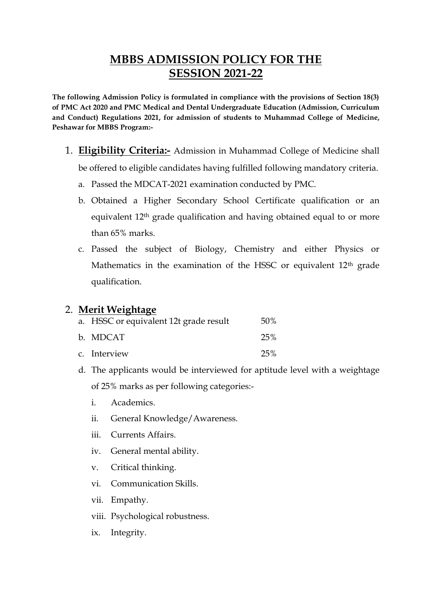# **MBBS ADMISSION POLICY FOR THE SESSION 2021-22**

**The following Admission Policy is formulated in compliance with the provisions of Section 18(3) of PMC Act 2020 and PMC Medical and Dental Undergraduate Education (Admission, Curriculum and Conduct) Regulations 2021, for admission of students to Muhammad College of Medicine, Peshawar for MBBS Program:-**

- 1. **Eligibility Criteria:-** Admission in Muhammad College of Medicine shall be offered to eligible candidates having fulfilled following mandatory criteria.
	- a. Passed the MDCAT-2021 examination conducted by PMC.
	- b. Obtained a Higher Secondary School Certificate qualification or an equivalent 12<sup>th</sup> grade qualification and having obtained equal to or more than 65% marks.
	- c. Passed the subject of Biology, Chemistry and either Physics or Mathematics in the examination of the HSSC or equivalent 12<sup>th</sup> grade qualification.

### 2. **Merit Weightage**

| a. HSSC or equivalent 12t grade result | 50% |
|----------------------------------------|-----|
| b. MDCAT                               | 25% |
| c. Interview                           | 25% |

- d. The applicants would be interviewed for aptitude level with a weightage of 25% marks as per following categories:
	- i. Academics.
	- ii. General Knowledge/Awareness.
	- iii. Currents Affairs.
	- iv. General mental ability.
	- v. Critical thinking.
	- vi. Communication Skills.
	- vii. Empathy.
	- viii. Psychological robustness.
	- ix. Integrity.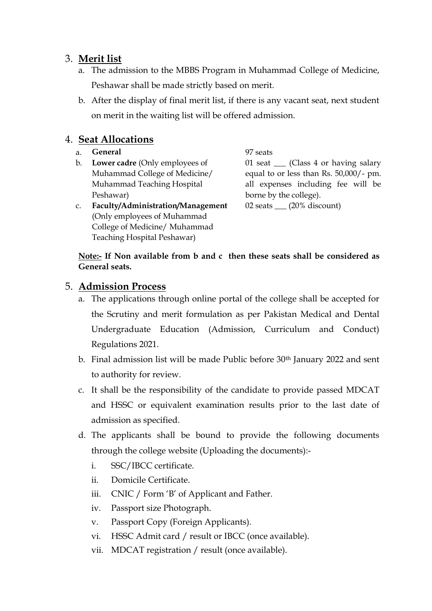## 3. **Merit list**

- a. The admission to the MBBS Program in Muhammad College of Medicine, Peshawar shall be made strictly based on merit.
- b. After the display of final merit list, if there is any vacant seat, next student on merit in the waiting list will be offered admission.

## 4. **Seat Allocations**

- a. **General** 97 seats
- b. **Lower cadre** (Only employees of Muhammad College of Medicine/ Muhammad Teaching Hospital Peshawar)
- 

01 seat **\_\_\_** (Class 4 or having salary equal to or less than Rs. 50,000/- pm. all expenses including fee will be borne by the college). 02 seats **\_\_\_** (20% discount)

c. **Faculty/Administration/Management** (Only employees of Muhammad College of Medicine/ Muhammad Teaching Hospital Peshawar)

#### **Note:- If Non available from b and c then these seats shall be considered as General seats.**

## 5. **Admission Process**

- a. The applications through online portal of the college shall be accepted for the Scrutiny and merit formulation as per Pakistan Medical and Dental Undergraduate Education (Admission, Curriculum and Conduct) Regulations 2021.
- b. Final admission list will be made Public before 30th January 2022 and sent to authority for review.
- c. It shall be the responsibility of the candidate to provide passed MDCAT and HSSC or equivalent examination results prior to the last date of admission as specified.
- d. The applicants shall be bound to provide the following documents through the college website (Uploading the documents):
	- i. SSC/IBCC certificate.
	- ii. Domicile Certificate.
	- iii. CNIC / Form 'B' of Applicant and Father.
	- iv. Passport size Photograph.
	- v. Passport Copy (Foreign Applicants).
	- vi. HSSC Admit card / result or IBCC (once available).
	- vii. MDCAT registration / result (once available).